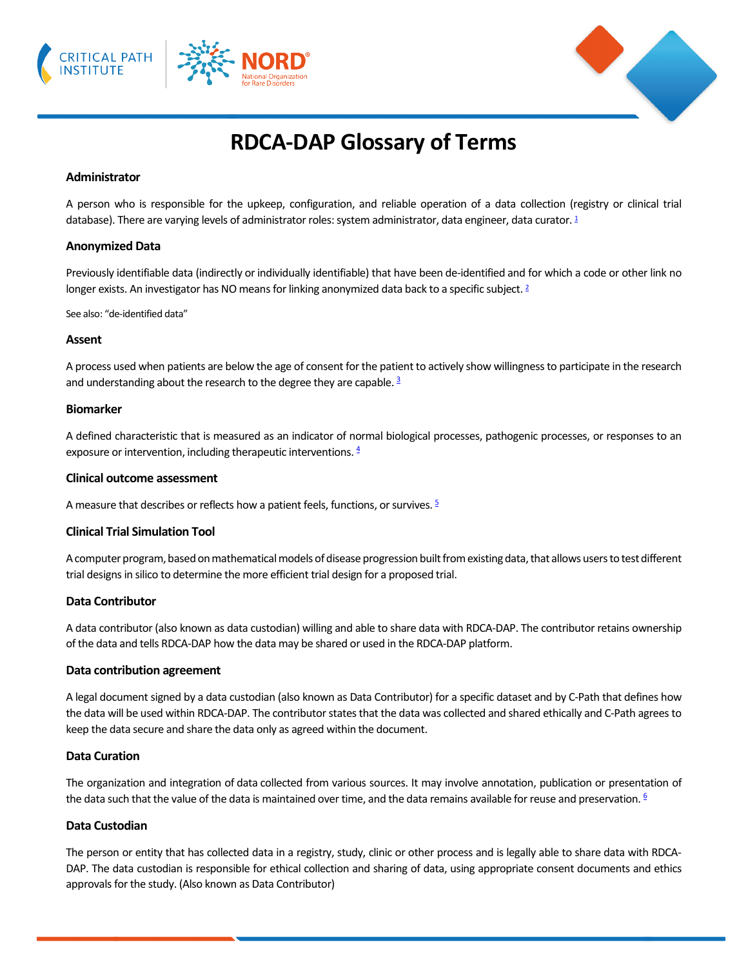



# **RDCA-DAP Glossary of Terms**

## **Administrator**

A person who is responsible for the upkeep, configuration, and reliable operation of a data collection (registry or clinical trial database). There are varying levels of administrator roles: system administrator, data engineer, data curator[. 1](https://rarediseases.org/)

#### **Anonymized Data**

Previously identifiable data [\(indirectly](https://irb.ucsf.edu/definitions#indirectly_identifiable) or [individually identifiable\)](https://irb.ucsf.edu/definitions#individually_identifiable) that have been [de-identified](https://irb.ucsf.edu/definitions#deidentified) and for which a code or other link no longer exists. An investigator has NO means for linking anonymized data back to a specific subject. <sup>2</sup>

See also: "de-identified data"

#### **Assent**

A process used when patients are below the age of consent for the patient to actively show willingness to participate in the research and understanding about the research to the degree they are capable. <sup>3</sup>

#### **Biomarker**

A defined characteristic that is measured as an indicator of normal biological processes, pathogenic processes, or responses to an exposure or intervention, including therapeutic interventions.  $4$ 

#### **Clinical outcome assessment**

A measure that describes or reflects how a patient feels, functions, or survives.  $\frac{5}{2}$ 

## **Clinical Trial Simulation Tool**

A computer program, based on mathematical models of disease progression built from existing data, that allows users to test different trial designs in silico to determine the more efficient trial design for a proposed trial.

## **Data Contributor**

A data contributor (also known as data custodian) willing and able to share data with RDCA-DAP. The contributor retains ownership of the data and tells RDCA-DAP how the data may be shared or used in the RDCA-DAP platform.

#### **Data contribution agreement**

A legal document signed by a data custodian (also known as Data Contributor) for a specific dataset and by C-Path that defines how the data will be used within RDCA-DAP. The contributor states that the data was collected and shared ethically and C-Path agrees to keep the data secure and share the data only as agreed within the document.

#### **Data Curation**

The organization and integration of data collected from various sources. It may involve annotation, publication or presentation of the data such that the value of the data is maintained over time, and the data remains available for reuse and preservation.  $6$ 

## **Data Custodian**

The person or entity that has collected data in a registry, study, clinic or other process and is legally able to share data with RDCA-DAP. The data custodian is responsible for ethical collection and sharing of data, using appropriate consent documents and ethics approvals for the study. (Also known as Data Contributor)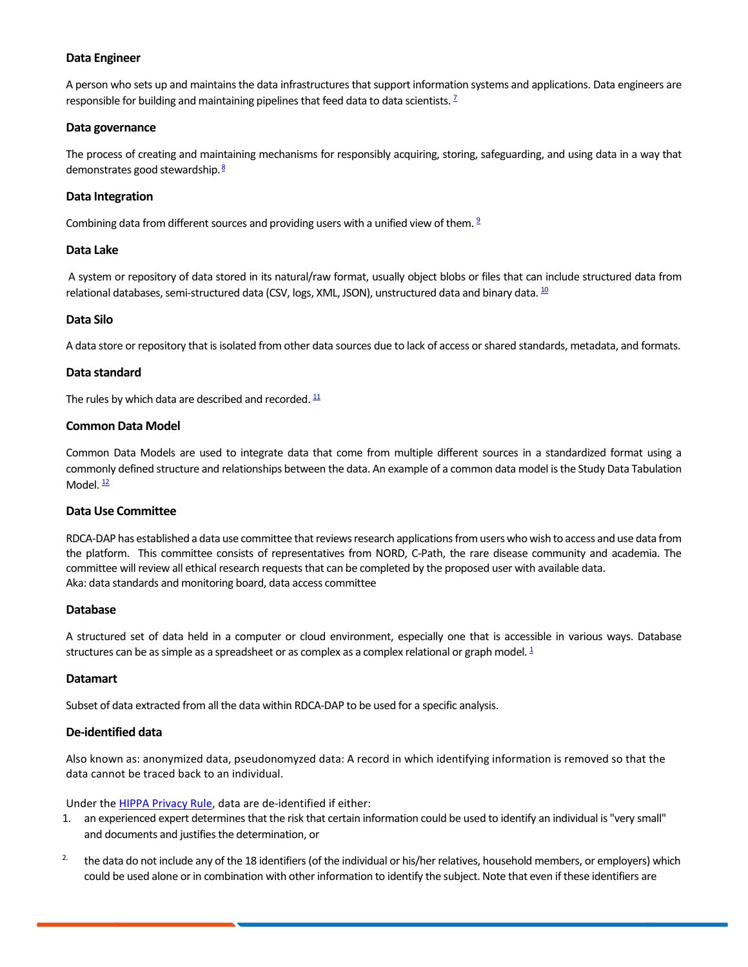## **Data Engineer**

A person who sets up and maintains the data infrastructures that support information systems and applications. Data engineers are responsible for building and maintaining pipelines that feed data to data scientists. <sup>7</sup>

## **Data governance**

The process of creating and maintaining mechanisms for responsibly acquiring, storing, safeguarding, and using data in a way that demonstrates good stewardship.<sup>[8](https://www.ncbi.nlm.nih.gov/pmc/articles/PMC2965885/)</sup>

## **Data Integration**

Combining data from different sources and providing users with a unified view of them.  $2$ 

## **Data Lake**

A system or repository of data stored in its natural/raw format, usually object blobs or files that can include structured data from relational databases, semi-structured data (CSV, logs, XML, JSON), unstructured data and binary data.  $^{10}$ 

## **Data Silo**

A data store or repository that is isolated from other data sources due to lack of access or shared standards, metadata, and formats.

## **Data standard**

The rules by which data are described and recorded.  $11$ 

## **Common Data Model**

Common Data Models are used to integrate data that come from multiple different sources in a standardized format using a commonly defined structure and relationships between the data. An example of a common data model is the Study Data Tabulation Model.  $\frac{12}{2}$ 

## **Data Use Committee**

RDCA-DAP has established a data use committee that reviews research applications from users who wish to access and use data from the platform. This committee consists of representatives from NORD, C-Path, the rare disease community and academia. The committee will review all ethical research requests that can be completed by the proposed user with available data. Aka: data standards and monitoring board, data access committee

## **Database**

A structured set of data held in a computer or cloud environment, especially one that is accessible in various ways. Database structures can be as simple as a spreadsheet or as complex as a complex relational or graph model.  $\frac{1}{2}$ 

## **Datamart**

Subset of data extracted from all the data within RDCA-DAP to be used for a specific analysis.

## **De-identified data**

Also known as: anonymized data, pseudonomyzed data: A record in which identifying information is removed so that the data cannot be traced back to an individual.

Under th[e HIPPA Privacy Rule,](https://irb.ucsf.edu/hipaa) data are de-identified if either:

- 1. an experienced expert determines that the risk that certain information could be used to identify an individual is "very small" and documents and justifies the determination, or
- <sup>2.</sup> the data do not include any of the 18 identifiers (of the individual or his/her relatives, household members, or employers) which could be used alone or in combination with other information to identify the subject. Note that even if these identifiers are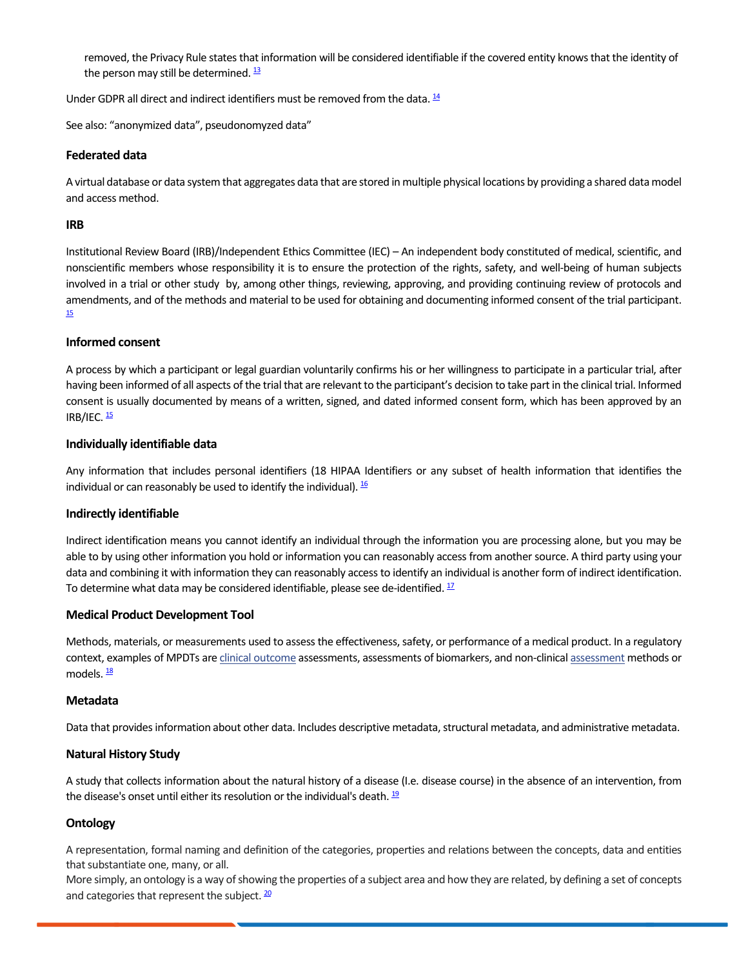removed, the Privacy Rule states that information will be considered identifiable if the covered entity knows that the identity of the person may still be determined.  $\frac{13}{2}$ 

Under GDPR all direct and indirect identifiers must be removed from the data.  $\frac{14}{1}$ 

See also: "anonymized data", pseudonomyzed data"

## **Federated data**

A virtual database or data system that aggregates data that are stored in multiple physical locations by providing a shared data model and access method.

#### **IRB**

Institutional Review Board (IRB)/Independent Ethics Committee (IEC) – An independent body constituted of medical, scientific, and nonscientific members whose responsibility it is to ensure the protection of the rights, safety, and well-being of human subjects involved in a trial or other study by, among other things, reviewing, approving, and providing continuing review of protocols and amendments, and of the methods and material to be used for obtaining and documenting informed consent of the trial participant.<br>[15](https://www.nia.nih.gov/research/dgcg/nia-glossary-clinical-research-terms)

#### **Informed consent**

A process by which a participant or legal guardian voluntarily confirms his or her willingness to participate in a particular trial, after having been informed of all aspects of the trial that are relevant to the participant's decision to take part in the clinical trial. Informed consent is usually documented by means of a written, signed, and dated informed consent form, which has been approved by an IRB/IEC.  $\frac{15}{15}$ 

#### **Individually identifiable data**

Any information that includes personal identifiers (18 HIPAA Identifiers or any subset of health information that identifies the individual or can reasonably be used to identify the individual).  $\frac{16}{5}$ 

## **Indirectly identifiable**

Indirect identification means you cannot identify an individual through the information you are processing alone, but you may be able to by using other information you hold or information you can reasonably access from another source. A third party using your data and combining it with information they can reasonably access to identify an individual is another form of indirect identification. To determine what data may be considered identifiable, please see de-identified.  $17$ 

## **Medical Product Development Tool**

Methods, materials, or measurements used to assess the effectiveness, safety, or performance of a medical product. In a regulatory context, examples of MPDTs are [clinical outcome](https://www.ncbi.nlm.nih.gov/books/NBK338448/def-item/glossary.clinical-outcome/) [assessment](https://www.ncbi.nlm.nih.gov/books/NBK338448/def-item/glossary.assessment/)s, assessments of biomarkers, and non-clinical assessment methods or models.  $\frac{18}{3}$ 

#### **Metadata**

Data that provides information about other data. Includes descriptive metadata, structural metadata, and administrative metadata.

## **Natural History Study**

A study that collects information about the natural history of a disease (I.e. disease course) in the absence of an intervention, from the disease's onset until either its resolution or the individual's death.  $\frac{19}{2}$ 

## **Ontology**

A representation, formal naming and definition of the categories, properties and relations between the concepts, data and entities that substantiate one, many, or all.

More simply, an ontology is a way of showing the properties of a subject area and how they are related, by defining a set of concepts and categories that represent the subject.  $\frac{20}{2}$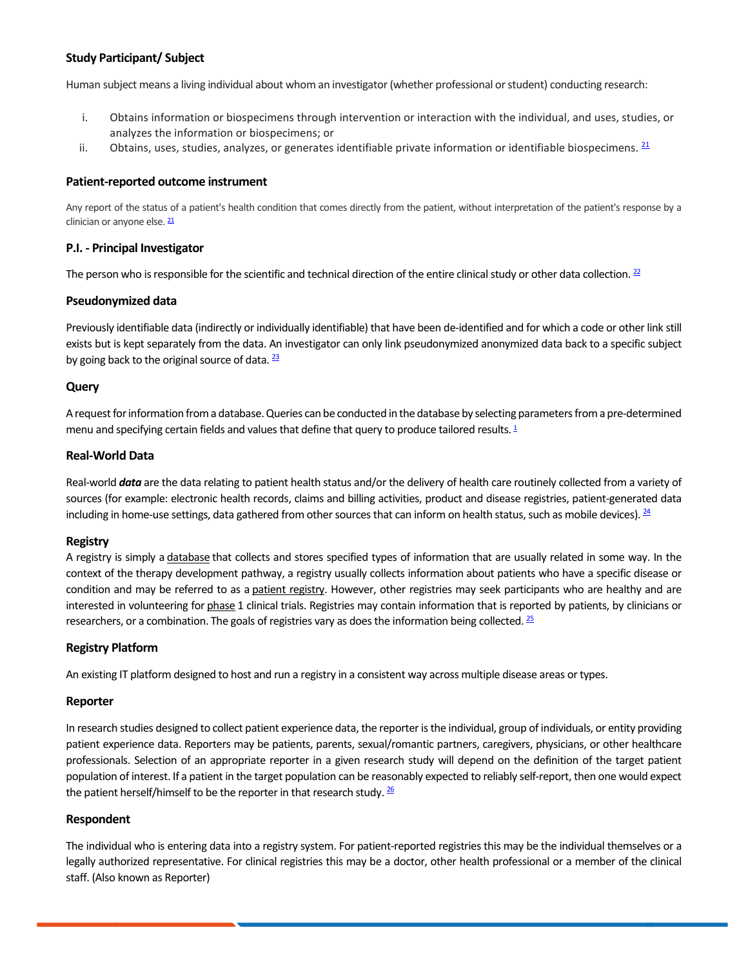# **Study Participant/ Subject**

Human subject means a living individual about whom an investigator (whether professional or student) conducting research:

- i. Obtains information or biospecimens through intervention or interaction with the individual, and uses, studies, or analyzes the information or biospecimens; or
- ii. Obtains, uses, studies, analyzes, or generates identifiable private information or identifiable biospecimens.  $21$

## **Patient-reported outcome instrument**

Any report of the status of a patient's health condition that comes directly from the patient, without interpretation of the patient's response by a clinician or anyone else[. 21](http://www.fda.gov/)

## **P.I. - Principal Investigator**

The person who is responsible for the scientific and technical direction of the entire clinical study or other data collection.  $22$ 

#### **Pseudonymized data**

Previously identifiable data (indirectly or individually identifiable) that have been de-identified and for which a code or other link still exists but is kept separately from the data. An investigator can only link pseudonymized anonymized data back to a specific subject by going back to the original source of data.  $\frac{23}{2}$ 

## **Query**

A request for information from a database. Queries can be conducted in the database by selecting parameters from a pre-determined menu and specifying certain fields and values that define that query to produce tailored results[. 1](https://rarediseases.org/)

## **Real-World Data**

Real-world *data* are the data relating to patient health status and/or the delivery of health care routinely collected from a variety of sources (for example: electronic health records, claims and billing activities, product and disease registries, patient-generated data including in home-use settings, data gathered from other sources that can inform on health status, such as mobile devices).  $24$ 

## **Registry**

A registry is simply a [database](https://toolkit.ncats.nih.gov/glossary/database/) that collects and stores specified types of information that are usually related in some way. In the context of the therapy development pathway, a registry usually collects information about patients who have a specific disease or condition and may be referred to as a [patient registry.](https://toolkit.ncats.nih.gov/glossary/patient-registry/) However, other registries may seek participants who are healthy and are interested in volunteering for [phase](https://toolkit.ncats.nih.gov/glossary/phases-of-clinical-trials/) 1 clinical trials. Registries may contain information that is reported by patients, by clinicians or researchers, or a combination. The goals of registries vary as does the information being collected.  $\frac{25}{2}$ 

## **Registry Platform**

An existing IT platform designed to host and run a registry in a consistent way across multiple disease areas or types.

## **Reporter**

In research studies designed to collect patient experience data, the reporter is the individual, group of individuals, or entity providing patient experience data. Reporters may be patients, parents, sexual/romantic partners, caregivers, physicians, or other healthcare professionals. Selection of an appropriate reporter in a given research study will depend on the definition of the target patient population of interest. If a patient in the target population can be reasonably expected to reliably self-report, then one would expect the patient herself/himself to be the reporter in that research study.  $\frac{26}{5}$ 

## **Respondent**

The individual who is entering data into a registry system. For patient-reported registries this may be the individual themselves or a legally authorized representative. For clinical registries this may be a doctor, other health professional or a member of the clinical staff. (Also known as Reporter)